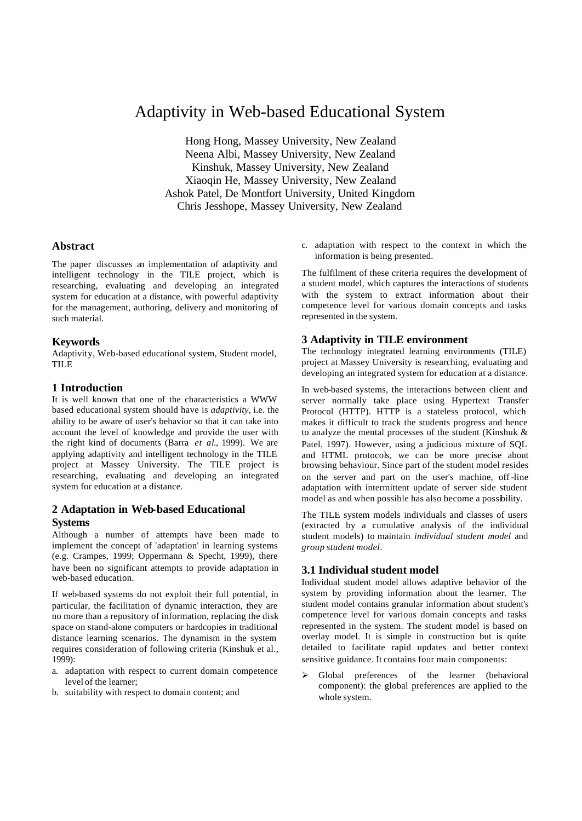# Adaptivity in Web-based Educational System

Hong Hong, Massey University, New Zealand Neena Albi, Massey University, New Zealand Kinshuk, Massey University, New Zealand Xiaoqin He, Massey University, New Zealand Ashok Patel, De Montfort University, United Kingdom Chris Jesshope, Massey University, New Zealand

### **Abstract**

The paper discusses an implementation of adaptivity and intelligent technology in the TILE project, which is researching, evaluating and developing an integrated system for education at a distance, with powerful adaptivity for the management, authoring, delivery and monitoring of such material.

#### **Keywords**

Adaptivity, Web-based educational system, Student model, TILE

#### **1 Introduction**

It is well known that one of the characteristics a WWW based educational system should have is *adaptivity,* i.e. the ability to be aware of user's behavior so that it can take into account the level of knowledge and provide the user with the right kind of documents (Barra *et al*., 1999). We are applying adaptivity and intelligent technology in the TILE project at Massey University. The TILE project is researching, evaluating and developing an integrated system for education at a distance.

## **2 Adaptation in Web-based Educational Systems**

Although a number of attempts have been made to implement the concept of 'adaptation' in learning systems (e.g. Crampes, 1999; Oppermann & Specht, 1999), there have been no significant attempts to provide adaptation in web-based education.

If web-based systems do not exploit their full potential, in particular, the facilitation of dynamic interaction, they are no more than a repository of information, replacing the disk space on stand-alone computers or hardcopies in traditional distance learning scenarios. The dynamism in the system requires consideration of following criteria (Kinshuk et al., 1999):

- a. adaptation with respect to current domain competence level of the learner;
- b. suitability with respect to domain content; and

c. adaptation with respect to the context in which the information is being presented.

The fulfilment of these criteria requires the development of a student model, which captures the interactions of students with the system to extract information about their competence level for various domain concepts and tasks represented in the system.

#### **3 Adaptivity in TILE environment**

The technology integrated learning environments (TILE) project at Massey University is researching, evaluating and developing an integrated system for education at a distance.

In web-based systems, the interactions between client and server normally take place using Hypertext Transfer Protocol (HTTP). HTTP is a stateless protocol, which makes it difficult to track the students progress and hence to analyze the mental processes of the student (Kinshuk & Patel, 1997). However, using a judicious mixture of SQL and HTML protocols, we can be more precise about browsing behaviour. Since part of the student model resides on the server and part on the user's machine, off-line adaptation with intermittent update of server side student model as and when possible has also become a possibility.

The TILE system models individuals and classes of users (extracted by a cumulative analysis of the individual student models) to maintain *individual student model* and *group student model*.

## **3.1 Individual student model**

Individual student model allows adaptive behavior of the system by providing information about the learner. The student model contains granular information about student's competence level for various domain concepts and tasks represented in the system. The student model is based on overlay model. It is simple in construction but is quite detailed to facilitate rapid updates and better context sensitive guidance. It contains four main components:

ÿ Global preferences of the learner (behavioral component): the global preferences are applied to the whole system.